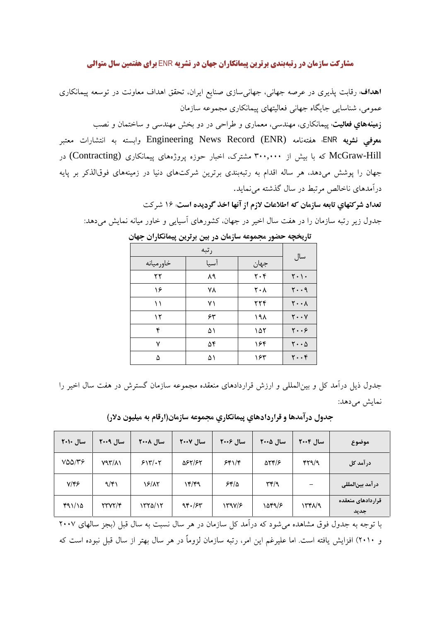## **مشارکت سازمان در رتبهبندی برترین پیمانکاران جهان در نشریه ENR برای هفتمین سال متوالی**

**اهداف**: رقابت پذیری در عرصه جهانی، جهانیسازی صنایع ایران، تحقق اهداف معاونت در توسعه پیمانکاری عمومی، شناسایی جایگاه جهانی فعالیتهای پیمانکاری مجموعه سازمان

**زمینههاي فعالیت**: پیمانکاري، مهندسي، معماري و طراحي در دو بخش مهندسي و ساختمان و نصب معوفي نشويه ENR؛ هفتهنامه Engineering News Record (ENR) وابسته به انتشارات معتبر McGraw-Hill که با بیش از ۳۰۰٬۰۰۰ مشترک، اخبار حوزه پروژههای پیمانکاری (Contracting) در جهان را پوشش میدهد، هر ساله اقدام به رتبهبندی برترین شرکتهای دنیا در زمینههای فوقالذکر بر پایه درآمدهای ناخالص مرتبط در سال گذشته می نماید.

تعداد شركتهاي تابعه سازمان كه اطلاعات لازم از آنها اخذ گرديده است: ١۶ شركت جدول زیر رتبه سازمان را در هفت سال اخیر در جهان، کشورهای آسیایی و خاور میانه نمایش می<mark>دهد:</mark>

| خاورميانه | آسيا | جهان                          | سال                                   |
|-----------|------|-------------------------------|---------------------------------------|
| ۲۲        | ٨٩   | $\mathbf{Y} \cdot \mathbf{Y}$ | $Y \cdot \cdot$                       |
| ۱۶        | ۷۸   | ۲۰۸                           | $y \cdot q$                           |
| ۱۱        | ۷١   | ٢٢۴                           | $\mathsf{Y} \cdot \cdot \mathsf{A}$   |
| ۱۲        | ۶۳   | ۱۹۸                           | $Y \cdot Y$                           |
| ۴         | ۵۱   | ۱۵۲                           | $y \cdot .9$                          |
| ٧         | ۵۴   | ۱۶۴                           | $\mathsf{Y}\cdot\cdot\mathsf{\Delta}$ |
| ۵         | ۵۱   | ۱۶۳                           | $\mathbf{y} \cdot \mathbf{y}$         |

تاریخچه حضور مجموعه سازمان در بین برترین پیمانکاران جهان

جدول ذیل درآمد کل و بین|لمللی و ارزش قراردادهای منعقده مجموعه سازمان گسترش در هفت سال اخیر را نمایش می دهد:

| سال ۲۰۱۰                 | سال ٢٠٠٩      | سال ۲۰۰۸ | سال ۲۰۰۷ | سال ۲۰۰۶ | سال ۲۰۰۵                                          | سال ۲۰۰۴        | موضوع                     |
|--------------------------|---------------|----------|----------|----------|---------------------------------------------------|-----------------|---------------------------|
| $V\Delta\Delta/\Upsilon$ | $Y97/\lambda$ | 517/77   | 587/۶۲   | 551/5    | $\Delta Yf/F$                                     | $f\uparrow q/q$ | در آمد کل                 |
| $Y/\mathfrak{f}$ ۶       | 9/51          | ۱۶/۸۲    | ۱۴/۴۹    | 55/2     | $\mathsf{r}\mathsf{r}/\mathsf{q}$                 |                 | در آمد بینالمللی          |
| 491/10                   | YYYY/F        | ۱۳۲۵/۱۲  | 95.75    | 1598/8   | $\lambda \Delta \mathbf{f} \mathbf{q}/\mathbf{r}$ | ۱۳۴۸/۹          | قراردادهای منعقده<br>جديد |

جدول درآمدها و قراردادهاي پيمانكاري مجموعه سازمان(ارقام به ميليون دلار)

با توجه به جدول فوق مشاهده می شود که درآمد کل سازمان در هر سال نسبت به سال قبل (بجز سالهای ۲۰۰۷ و ۲۰۱۰) افزایش یافته است. اما علیرغم این امر، رتبه سازمان لزوماً در هر سال بهتر از سال قبل نبوده است که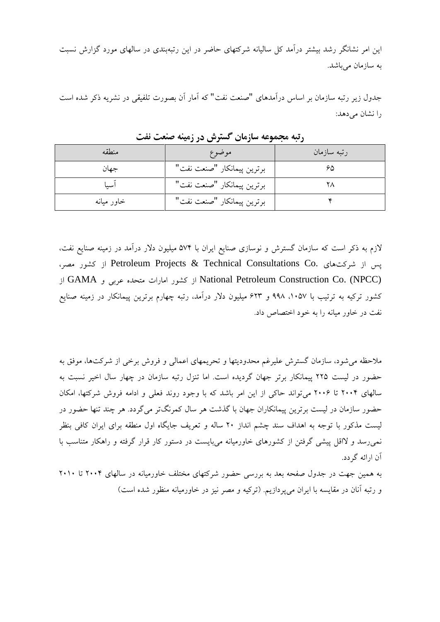این امر نشانگر رشد بیشتر درآمد کل سالیانه شرکتهای حاضر در این رتبهبندی در سالهای مورد گزارش نسبت به سازمان می باشد.

جدول زیر رتبه سازمان بر اساس درآمدهای "صنعت نفت" که آمار آن بصورت تلفیقی در نشریه ذکر شده است را نشان می دهد:

| منطقه      | موضوع                      | رتبه سازمان |
|------------|----------------------------|-------------|
| جهان       | برترين پيمانكار "صنعت نفت" |             |
| اسىا       | برترين پيمانكار "صنعت نفت" |             |
| خاور میانه | برترين پيمانكار "صنعت نفت" |             |

رتبه مجموعه سازمان گسترش در زمینه صنعت نفت

لازم به ذکر است که سازمان گسترش و نوسازی صنایع ایران با ۵۷۴ میلیون دلار درآمد در زمینه صنایع نفت، یس از شرکتهای .Petroleum Projects & Technical Consultations Co از کشور مصر، National Petroleum Construction Co. (NPCC) از کشور امارات متحده عربی و GAMA از کشور ترکیه به ترتیب با ۹۹۸، ۹۹۸ و ۶۲۳ میلیون دلار درآمد، رتبه چهارم برترین پیمانکار در زمینه صنایع نفت در خاور مبانه را به خود اختصاص داد.

ملاحظه می شود، سازمان گسترش علیرغم محدودیتها و تحریمهای اعمالی و فروش برخی از شرکتها، موفق به حضور در لیست ۲۲۵ پیمانکار برتر جهان گردیده است. اما تنزل رتبه سازمان در چهار سال اخیر نسبت به سالهای ۲۰۰۴ تا ۲۰۰۶ میتواند حاکی از این امر باشد که با وجود روند فعلی و ادامه فروش شرکتها، امکان حضور سازمان در لیست برترین پیمانکاران جهان با گذشت هر سال کمرنگتر میگردد. هر چند تنها حضور در لیست مذکور با توجه به اهداف سند چشم انداز ۲۰ ساله و تعریف جایگاه اول منطقه برای ایران کافی بنظر نمی رسد و لااقل پیشی گرفتن از کشورهای خاورمیانه میبایست در دستور کار قرار گرفته و راهکار متناسب با اَن ارائه گر دد.

به همین جهت در جدول صفحه بعد به بررسی حضور شرکتهای مختلف خاورمیانه در سالهای ۲۰۰۴ تا ۲۰۱۰ و رتبه آنان در مقایسه با ایران می پردازیم. (ترکیه و مصر نیز در خاورمیانه منظور شده است)